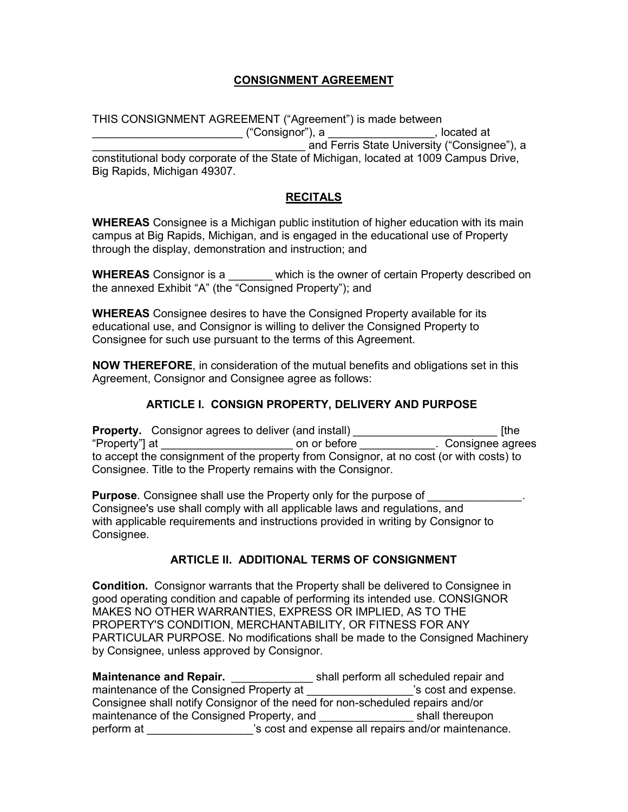# **CONSIGNMENT AGREEMENT**

THIS CONSIGNMENT AGREEMENT ("Agreement") is made between \_\_\_\_\_\_\_\_\_\_\_\_\_\_\_\_\_\_\_\_\_\_\_\_ ("Consignor"), a \_\_\_\_\_\_\_\_\_\_\_\_\_\_\_\_\_, located at and Ferris State University ("Consignee"), a constitutional body corporate of the State of Michigan, located at 1009 Campus Drive, Big Rapids, Michigan 49307.

## **RECITALS**

**WHEREAS** Consignee is a Michigan public institution of higher education with its main campus at Big Rapids, Michigan, and is engaged in the educational use of Property through the display, demonstration and instruction; and

**WHEREAS** Consignor is a **which is the owner of certain Property described on** the annexed Exhibit "A" (the "Consigned Property"); and

**WHEREAS** Consignee desires to have the Consigned Property available for its educational use, and Consignor is willing to deliver the Consigned Property to Consignee for such use pursuant to the terms of this Agreement.

**NOW THEREFORE**, in consideration of the mutual benefits and obligations set in this Agreement, Consignor and Consignee agree as follows:

## **ARTICLE I. CONSIGN PROPERTY, DELIVERY AND PURPOSE**

**Property.** Consignor agrees to deliver (and install) *Constanting the strategy in the strategy of the strategy in the* "Property"] at \_\_\_\_\_\_\_\_\_\_\_\_\_\_\_\_\_\_\_\_\_ on or before *\_\_\_\_\_\_\_\_\_\_\_\_*. Consignee agrees to accept the consignment of the property from Consignor, at no cost (or with costs) to Consignee. Title to the Property remains with the Consignor.

**Purpose**. Consignee shall use the Property only for the purpose of Consignee's use shall comply with all applicable laws and regulations, and with applicable requirements and instructions provided in writing by Consignor to Consignee.

### **ARTICLE II. ADDITIONAL TERMS OF CONSIGNMENT**

**Condition.** Consignor warrants that the Property shall be delivered to Consignee in good operating condition and capable of performing its intended use. CONSIGNOR MAKES NO OTHER WARRANTIES, EXPRESS OR IMPLIED, AS TO THE PROPERTY'S CONDITION, MERCHANTABILITY, OR FITNESS FOR ANY PARTICULAR PURPOSE. No modifications shall be made to the Consigned Machinery by Consignee, unless approved by Consignor.

| <b>Maintenance and Repair.</b>                                                | shall perform all scheduled repair and              |
|-------------------------------------------------------------------------------|-----------------------------------------------------|
| maintenance of the Consigned Property at                                      | 's cost and expense.                                |
| Consignee shall notify Consignor of the need for non-scheduled repairs and/or |                                                     |
| maintenance of the Consigned Property, and                                    | shall thereupon                                     |
| perform at                                                                    | 's cost and expense all repairs and/or maintenance. |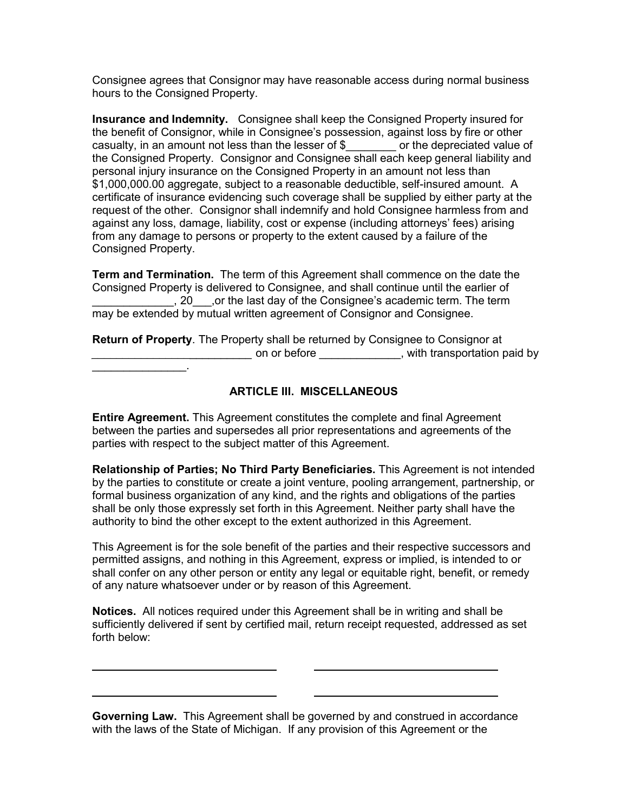Consignee agrees that Consignor may have reasonable access during normal business hours to the Consigned Property.

**Insurance and Indemnity.** Consignee shall keep the Consigned Property insured for the benefit of Consignor, while in Consignee's possession, against loss by fire or other casualty, in an amount not less than the lesser of \$\_\_\_\_\_\_\_\_ or the depreciated value of the Consigned Property. Consignor and Consignee shall each keep general liability and personal injury insurance on the Consigned Property in an amount not less than \$1,000,000.00 aggregate, subject to a reasonable deductible, self-insured amount. A certificate of insurance evidencing such coverage shall be supplied by either party at the request of the other. Consignor shall indemnify and hold Consignee harmless from and against any loss, damage, liability, cost or expense (including attorneys' fees) arising from any damage to persons or property to the extent caused by a failure of the Consigned Property.

**Term and Termination.** The term of this Agreement shall commence on the date the Consigned Property is delivered to Consignee, and shall continue until the earlier of \_\_\_\_\_\_\_\_\_\_\_\_\_, 20\_\_\_,or the last day of the Consignee's academic term. The term may be extended by mutual written agreement of Consignor and Consignee.

**Return of Property**. The Property shall be returned by Consignee to Consignor at *\_\_\_\_\_\_\_\_\_\_\_\_\_\_\_\_\_\_\_\_\_\_\_\_\_\_* on or before \_\_\_\_\_\_\_\_\_\_\_\_\_, with transportation paid by

### **ARTICLE III. MISCELLANEOUS**

**Entire Agreement.** This Agreement constitutes the complete and final Agreement between the parties and supersedes all prior representations and agreements of the parties with respect to the subject matter of this Agreement.

\_\_\_\_\_\_\_\_\_\_\_\_\_\_\_.

**Relationship of Parties; No Third Party Beneficiaries.** This Agreement is not intended by the parties to constitute or create a joint venture, pooling arrangement, partnership, or formal business organization of any kind, and the rights and obligations of the parties shall be only those expressly set forth in this Agreement. Neither party shall have the authority to bind the other except to the extent authorized in this Agreement.

This Agreement is for the sole benefit of the parties and their respective successors and permitted assigns, and nothing in this Agreement, express or implied, is intended to or shall confer on any other person or entity any legal or equitable right, benefit, or remedy of any nature whatsoever under or by reason of this Agreement.

**Notices.** All notices required under this Agreement shall be in writing and shall be sufficiently delivered if sent by certified mail, return receipt requested, addressed as set forth below:

**Governing Law.** This Agreement shall be governed by and construed in accordance with the laws of the State of Michigan. If any provision of this Agreement or the